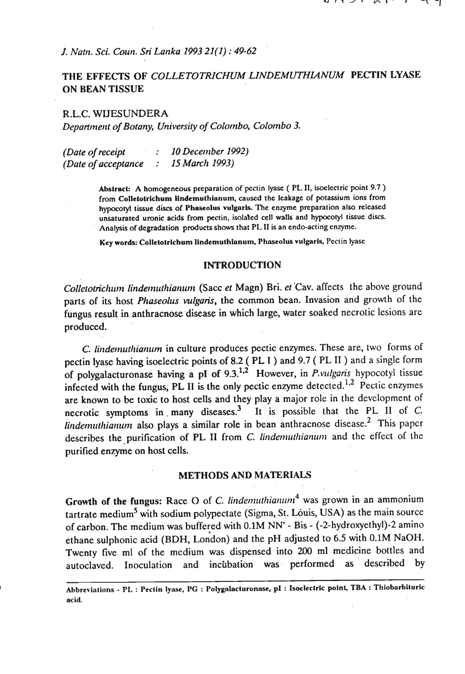*J. Nattt. Sci. Cowr. Sri Larrka 1993 21(1)* : *49-62* 

# **THE EFFECTS OF** *COLLETOTRlCHUM LINDEMUTHIANUM* **PECTIN** *LYASE*  **ON BEAN TISSUE**

R.L.C. WIJESUNDERA *Department of Botany, Universily of Colotnbo, Colombo 3.* 

*(Date of receipt* : *10 December 1992) (Date of acceptance : 15 March 1993)* 

> **Abslrack A homogeneous preparation of pectin lyase** ( **PL 11, isoelectric point.9.7** ) from Colletotrichum lindemuthianum, caused the leakage of potassium ions from **hypocotyl tissue discs of Phascolus vulgaris. The enzyme preparation also released**  unsaturated uronic acids from pectin, isolated cell walls and hypocotyl tissue discs. **Analysis of degradation products shows that PL I1 is an endo-acting enzyme.**

**Key words: Collctotrlchum Iindemulhlanum. Phnseollis vulgaris, Pectin lyase** 

## **INTRODUCTION**

*Colletotrichum lindemuthianum* (Sacc *et Magn) Bri. et Cav. affects the above ground* parts of its host *Phaseolus vulgaris*, the common bean. Invasion and growth of the fungus result in anthracnose disease in which large, water soaked necrotic lesions are produced.

*C. lindemuthianum* in culture produces pectic enzymes. These are, two forms of pectin lyase having isoelectric points of 8.2 ( PL 1 ) and 9.7 ( PL I1 ) and a single form of polygalacturonase having a pI of **9.3.1i2** However, in *P.vlrlgaris* hypocotyl tissue infected with the fungus, PL II is the only pectic enzyme detected.<sup>1,2</sup> Pectic enzymes are known to be toxic to host cells and they play a major role in the development of necrotic symptoms in many diseases.<sup>3</sup> It is possible that the PL II of C. *lindemuthianum* also plays a similar role in bean anthracnose disease.<sup>2</sup> This paper describes the purification of PL II from *C. lindemuthianum* and the effect of the purified enzyme on host cells..

#### **METHODS AND MATERIALS**

**Growth of the fungus:** Race O of C. *linder multianum*<sup>4</sup> was grown in an ammonium tartrate medium<sup>5</sup> with sodium polypectate (Sigma, St. Louis, USA) as the main source of carbon. The medium was buffered with **0.1M** NN' - Bis - (-2-hydroxyethy1)-2 amino ethane sulphonic acid (BDH, London) and the pH adjusted to 6.5 with 0.1M NaOH. Twenty five **ml** of the medium was dispensed into 200 ml medicine bottles and autoclaved. Inoculation and incubation was performed as described by of carbon. The medium was buffered with (ethane sulphonic acid (BDH, London) and<br>Twenty five ml of the medium was dispautoclaved. Inoculation and incubation

**Ahbrevinlions** - **PL** : **Pectin \$me, PC** : **Polygnlacturonnsc, pl** : **Isoelectric poinl, TBA** : **Thiobarbiluric acid.**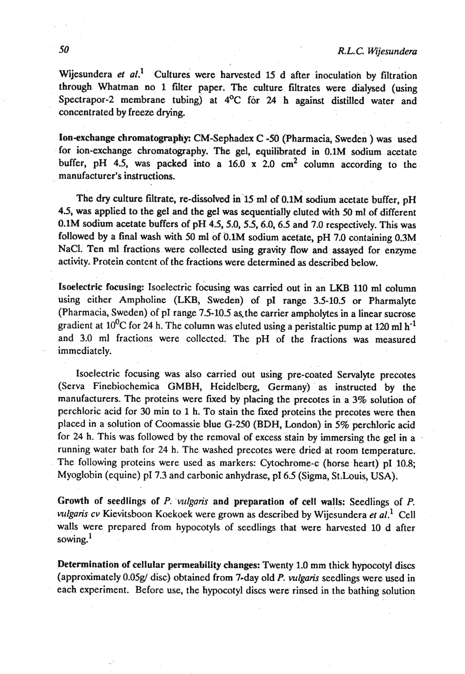Wijesundera et al.<sup>1</sup> Cultures were harvested 15 d after inoculation by filtration through Whatman no 1 filter paper. The culture filtrates were dialysed (using Spectrapor-2 membrane tubing) at  $4^{\circ}C$  for 24 h against distilled water and concentrated by freeze drying.

Ion-exchange chromatography: CM-Sephadex C -50 (Pharmacia, Sweden ) was used for ion-exchange chromatography. The gel, equilibrated in 0.1M sodium acetate buffer, pH 4.5, was packed into a 16.0 **x** 2.0 **cm2** column according to the manufacturer's instructions.

The dry culture filtrate, re-dissolved in 15 **ml** of 0.1M sodium acetate buffer, pH 4.5, was applied to the gel and the gel was sequentially eluted with 50 ml of different 0.1M sodium acetate buffers of pH 4.5, 5.0, 5.5, 6.0, 6.5 and 7.0 respectively. This was followed by a final wash with 50 ml of 0.1M sodium acetate, pH 7.0 containing 0.3M NaCI. Ten ml fractions were collected using gravity flow and assayed for enzyme activity. Protein content of the fractions were determined as described below.

Isoelectric focusing: Isoelectric focusing was carried out in an **LKB** 110 ml column using either Ampholine **(LKB,** Sweden) of pI range 3.5-10.5 or Pharmalyte (Pharmacia, Sweden) of pI range 7.5-10.5 as the carrier ampholytes in a linear sucrose gradient at 10<sup>0</sup>C for 24 h. The column was eluted using a peristaltic pump at 120 ml h<sup>-1</sup> and 3.0 ml fractions were collected. The pH of the fractions was measured immediately.

Isoelectric focusing was also carried out using pre-coated Servalyte precotes (Serva Finebiochemica GMBH, Heidelberg, Germany) as instructed by the manufacturers. The proteins were fixed by placing the precotes in a 3% solution of perchloric acid for 30 min to 1 h. To stain the fixed proteins the precotes were then placed in a solution of Coomassie blue *G-250* (BDH, London) in 5% perchloric acid for 24 h. This was followed by the removal of excess stain by immersing the gel in a running water bath for 24 h. The washed precotes were dried at room temperature. The following proteins were used as markers: Cytochrome-c (horse heart) pI 10.8; Myoglobin (equine) **pI** 7.3 and carbonic anhydrase, p16.5 (Sigma, St.Louis, USA).

Growth of seedlings of P. *'vulgaris* and preparation of cell walls: Seedlings of P. *ntlgaris cv* Kievitsboon Koekoek were grown as described by Wijesundera et *al.'* Cell walls were prepared from hypocotyls of seedlings that were harvested 10 d after sowing.<sup>1</sup>

.Determination of cellular permeability changes: Twenty 1.0 mm thick hypocotyl discs (approximately 0.05g/ disc) obtained from 7-day old P. *vulgaris* seedlings were used in each experiment. Before use, the hypocotyl discs were rinsed in the bathing solution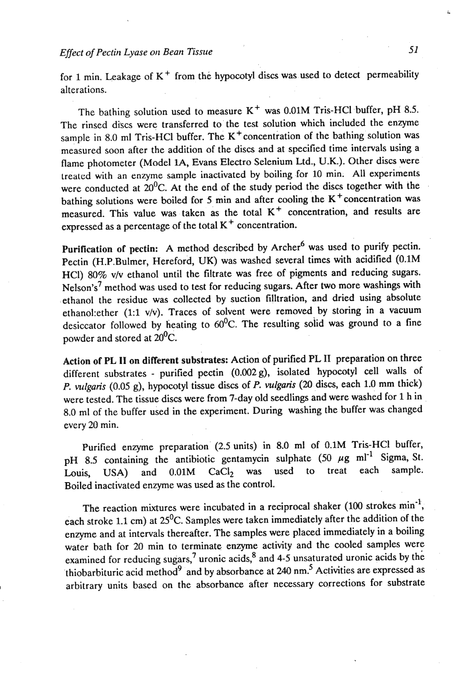for 1 min. Leakage of **K+** from the hypocotyl discs was used to detect permeability alterations.

The bathing solution used to measure K<sup>+</sup> was 0.01M Tris-HCl buffer, pH 8.5. The rinsed discs were transferred to the test solution which included the enzyme sample in 8.0 ml Tris-HCl buffer. The  $K<sup>+</sup>$  concentration of the bathing solution was measured soon after the addition of the discs and at specified time intervals using a flame photometer (Model **lA,** Evans Electro Selenium Ltd., U.K.). Other discs were treated with an enzyme sample inactivated by boiling for 10 min. All experiments were conducted at  $20^0C$ . At the end of the study period the discs together with the bathing solutions were boiled for 5 min and after cooling the K<sup>+</sup> concentration was measured. This value was taken as the total **K+** concentration, and results are expressed as a percentage of the total **K+** concentration.

Purification of pectin: A method described by Archer<sup>6</sup> was used to purify pectin. Pectin (H.P.Bulmer, Hereford, UK) was washed several times with acidified (0.1M HCl) 80% vlv ethanol until the filtrate was free of pigments and reducing sugars. Nelson's<sup>7</sup> method was used to test for reducing sugars. After two more washings with ethanol the residue was collected by suction filltration, and dried using absolute ethano1:ether (1:l v/v). Traces of solvent were removed by storing in a vacuum desiccator followed by heating to 60<sup>0</sup>C. The resulting solid was ground to a fine powder and stored at  $20^0C$ .

Action of PL **11** on **different substrates:** Action of purified PL **I1** preparation on three different substrates - purified pectin (0.002g), isolated hypocotyl cell walls of **P.** *vulgaris* (0.05 g), hypocotyl tissue discs of P. *vulgaris* (20-discs, each 1.0 mm thick) were tested. The tissue discs were from 7-day old seedlings and were washed for 1 h in 8.0 ml of the buffer used in the experiment. During washing the buffer was changed every 20 min.

Purified enzyme preparation' (2.5 units) in 8.0 ml of 0.1M Tris-HC1 buffer, pH 8.5 containing the antibiotic gentamycin sulphate  $(50 \mu g \text{ ml}^{-1} \text{Sigma, St.})$ Louis, USA) and 0.01M CaCl<sub>2</sub> was used to treat each sample. Boiled inactivated enzyme was used as the control.

The reaction mixtures were incubated in a reciprocal shaker (100 strokes  $min^{-1}$ , each stroke 1.1 cm) at  $25^{\circ}$ C. Samples were taken immediately after the addition of the enzyme and at intervals thereafter. The samples were placed immediately in a boiling water bath for 20 min to terminate enzyme activity and the cooled samples were examined for reducing sugars,<sup>7</sup> uronic acids,<sup>8</sup> and 4-5 unsaturated uronic acids by the thiobarbituric acid method<sup>9</sup> and by absorbance at 240 nm.<sup>5</sup> Activities are expressed as arbitrary units based on the absorbance after necessary corrections for substrate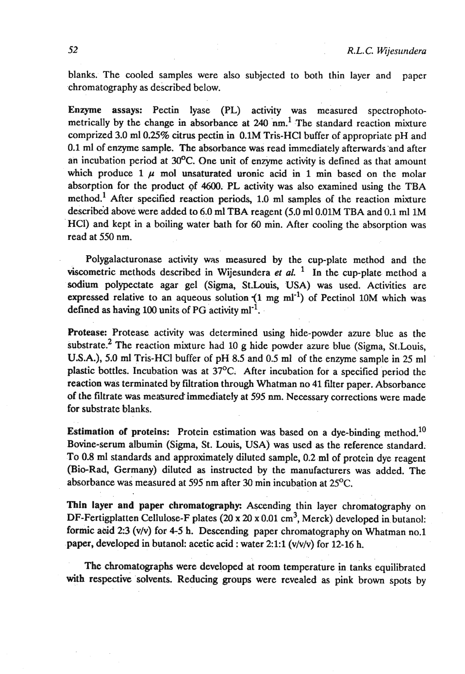blanks. The cooled samples were also subjected to both thin layer and paper chromatography as described below.

Enzyme assays: Pectin lyase (PL) activity was measured spectrophotometrically by the change in absorbance at 240 nm.<sup>1</sup> The standard reaction mixture comprized 3.0 ml 0.25% citrus pectin in 0.1M Tris-HCl buffer of appropriate pH and 0.1 ml of enzyme sample. The absorbance was read immediately afterwards'and after an incubation period at  $30^{\circ}$ C. One unit of enzyme activity is defined as that amount which produce  $1 \mu$  mol unsaturated uronic acid in 1 min based on the molar absorption for the product of 4600. PL activity was also examined using the TBA method.<sup>1</sup> After specified reaction periods, 1.0 ml samples of the reaction mixture described above were added to 6.0 ml TBA reagent (5.0 ml 0.01M TBA and 0.1 ml 1M HCI) and kept in a boiling water bath for 60 min. After cooling the absorption was read at 550 nm.

Polygalacturonase activity was measured by the cup-plate method and the viscometric methods described in Wijesundera et  $al$ . <sup>1</sup> In the cup-plate-method a sodium polypectate agar gel (Sigma, St.Louis, USA) was used. Activities are expressed relative to an aqueous solution  $(1 \text{ mg ml}^{-1})$  of Pectinol 10M which was defined as having 100 units of PG activity  $ml^{-1}$ .

Protease: Protease activity was determined using hide-powder azure blue as the substrate.<sup>2</sup> The reaction mixture had 10 g hide powder azure blue (Sigma, St. Louis, **U.S.A.),** 5.0 ml Tris-HC1 buffer of pH 8.5 and 0.5 ml of the enzyme sample in 25 ml plastic bottles. Incubation was at  $37^{\circ}$ C. After incubation for a specified period the reaction was terminated by filtration through Whatman no 41 filter paper. Absorbance of the filtrate was measured' immediately at 595 nm. Necessary corrections were made for substrate blanks.

**Estimation of proteins:** Protein estimation was based on a dye-binding method.<sup>10</sup> Bovine-serum albumin (Sigma, St. Louis, USA) was used as the reference standard; To 0.8 **ml** standards and approximately diluted sample, 0.2.ml of protein dye reagent (Bio-Rad, Germany) diluted as instructed by the manufacturers was added. The absorbance was measured at 595 nm after 30 min incubation at 25<sup>o</sup>C.

Thin layer and paper chromatography: Ascending thin layer chromatography on DF-Fertigplatten Cellulose-F plates (20 x 20 x 0.01 cm<sup>3</sup>, Merck) developed in butanol: formic acid 2:3 (v/v) for 4-5 h. Descending paper chromatography on Whatman no.1 paper, developed in butanol: acetic acid : water 2:1:1 ( $v/v/v$ ) for 12-16 h.

The chromatographs were developed at room temperature in tanks equilibrated with respective solvents. Reducing groups were revealed as pink brown spots by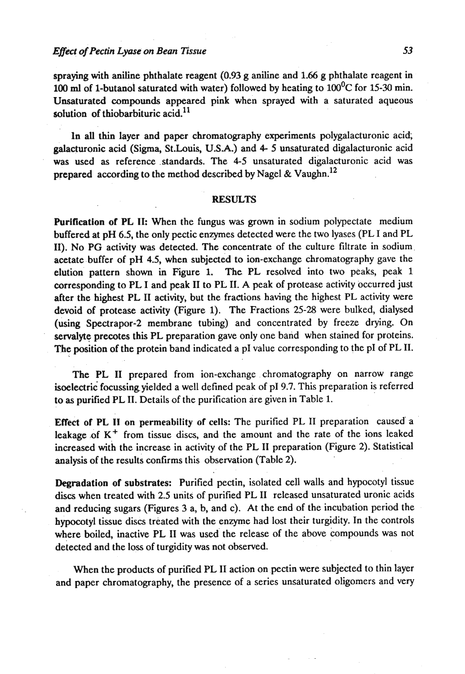. .

spraying with aniline phthalate reagent (0.93 g aniline and 1.66 g phthalate reagent in 100 ml of 1-butanol saturated with water) followed by heating to  $100^{\circ}$ C for 15-30 min. Unsaturated compounds appeared pink when sprayed with a saturated aqueous solution of thiobarbituric acid. $^{11}$ 

In all thin layer and paper chromatography experiments polygalacturonic acid; galacturonic acid (Sigma, St.Louis, U.S.A.) and 4- 5 unsaturated digalacturonic acid was used as reference standards. The **4-5** unsaturated digalacturonic acid was prepared according to the method described by Nagel & Vaughn.<sup>12</sup>

### **RESULTS**

Purification of PL **11:** When the fungus was gown in sodium polypectate medium buffered at pH 6.5, the only pectic enzymes detected were the two lyases (PL I and PL 11). No **PG** activity was detected. The concentrate of the culture filtrate in sodium acetate buffer of pH 4.5, when subjected to ion-exchange chromatography gave the elution pattern shown in Figure 1. **The PL** resolved into two peaks, peak 1 corresponding to **PL** I and peak I1 to **PL** 11. A peak of protease activity occurred just after the highest **PL** I1 activity, but the fractions having the highest PL activity were devoid of protease activity (Figure 1). The Fractions 25-28 were bulked, dialysed (using Spectrapor-2 membrane tubing) and concentrated by freeze drying. On **sewalyte** precotes this **PL** preparation gave only one band when stained for proteins. The position of the protein band indicated a pI value corresponding to the pI of PL II.

The PL II prepared from ion-exchange chromatography on narrow range isoelectric focussing yielded a well defined peak of pI 9.7. This preparation is referred to as purified **PL** 11. Details of the purification are given in Table 1.

Effect of PL II on permeability of cells: The purified PL II preparation caused a leakage of K<sup>+</sup> from tissue discs, and the amount and the rate of the ions leaked increased with the increase in activity of the PL I1 preparation (Figure 2). Statistical analysis of the results confirms this observation (Table 2).

Degradation of substrates: Purified pectin, isolated cell walls and hypocotyl tissue discs when treated with 2.5 units of purified PL I1 released unsaturated uronic acids and reducing sugars (Figures 3 a, b, and c). At the end of the incubation period the hypocotyl tissue discs treated with the enzyme had lost their turgidity. In the controls where boiled, inactive **PL** I1 was used the release of the above compounds was not detected and the loss of turgidity was not observed.

When the products of purified **PL** I1 action on pectin were subjected to thin layer and paper chromatography, the presence of a series unsaturated oligomers and very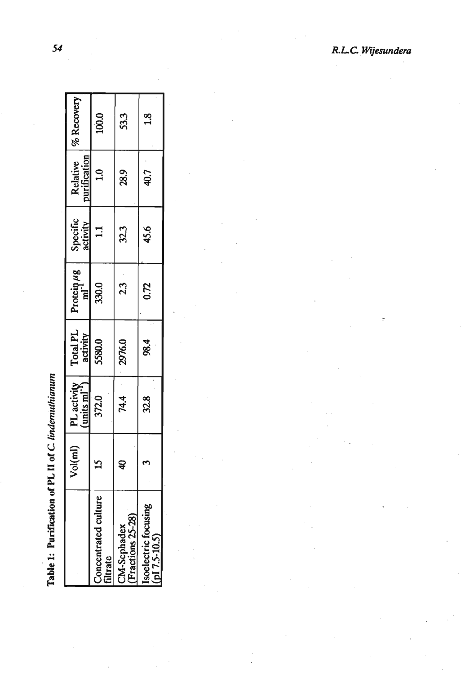| .<br>.<br>.  |
|--------------|
| ;<br>{       |
| ز<br>5       |
|              |
| $\mathbf{I}$ |
| DI TO        |
|              |
|              |
|              |
|              |

|                                  |   | $Vol(ml)$ PL activity $\begin{pmatrix} \text{mix} \\ \text{units} \\ \text{mix} \end{pmatrix}$ | Total PL<br>activity | Protein $\mu$ g | Specific<br>activity | Relative<br>urification | $\frac{9}{6}$ Recovery |
|----------------------------------|---|------------------------------------------------------------------------------------------------|----------------------|-----------------|----------------------|-------------------------|------------------------|
| Concentrated culture<br>filtrate |   | 372.0                                                                                          | 5580.0               | 330.0           | $\Xi$                | $\mathbf{a}$            | 100.0                  |
| (Fractions 25-28)<br>CM-Sephadex | Ş | 74.4                                                                                           | 2976.0               | ್ತು<br>೧೨       | 32.3                 | 28.9                    | 53.3                   |
| $p17.5-10.5$<br>Isoelectric f    |   | 32.8                                                                                           | 98.4                 | 0.72            | 45.6                 | 40.7                    | $\frac{8}{11}$         |

 $\frac{1}{2}$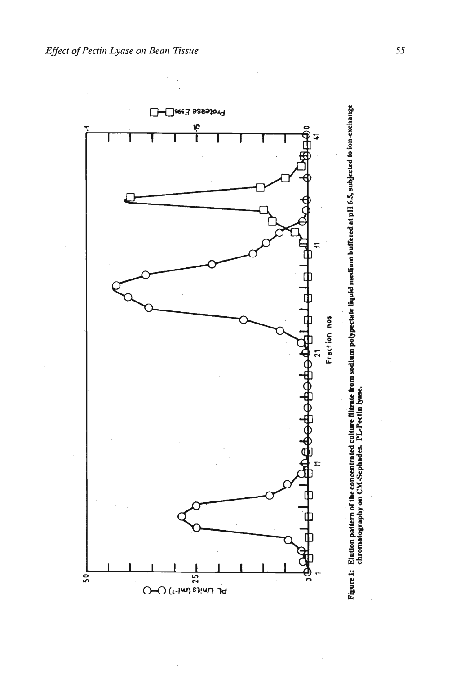

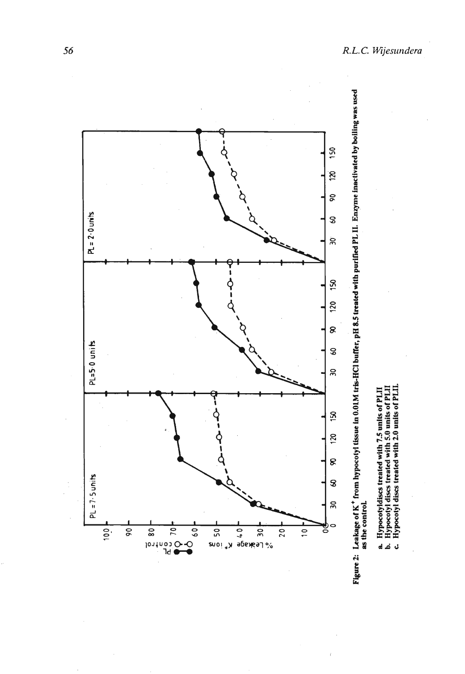



- 
- a. Hypeotyldises treated with 7.5 units of PLII<br>b. Hypeotyl dises treated with 5.0 units of PLII<br>c. Hypeotyl dises treated with 2.0 units of PLIL
	-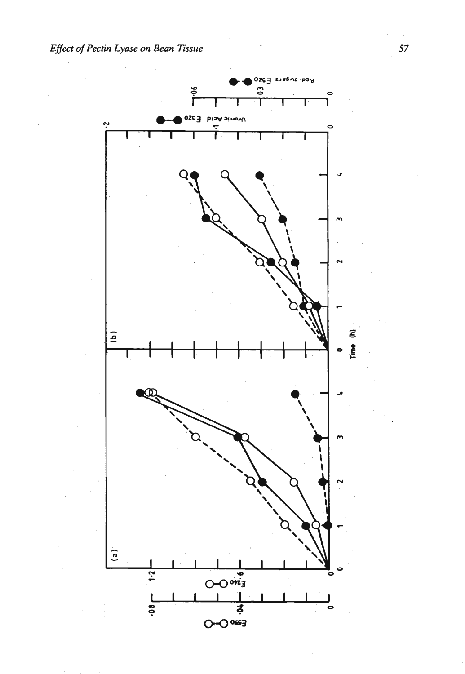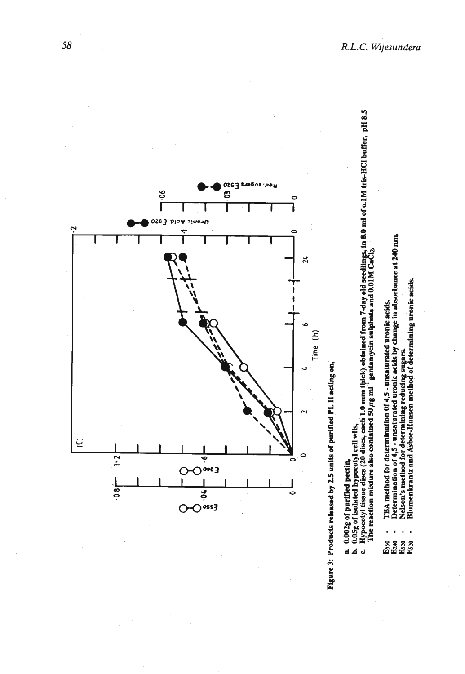



- TBA method for determination 0f 4,5 unsaturated uronic acids.
- Determination of 4,5 unsaturated uronic acids by change in absorbance at 240 nm.
	-
- និង<br>ក្នុង<br>ក្នុង
- Nelson's method for determining reducing sugars.<br>Blumenkrantz and Asboe-Hansen method of determining uronic acids.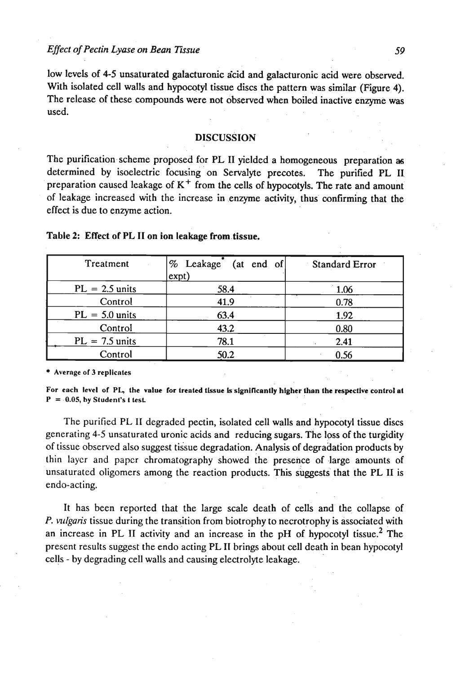low levels of 4-5 unsaturated galacturonic acid and galacturonic acid were observed. With isolated cell walls and hypocotyl tissue discs the pattern was similar (Figure 4). The release of these compounds were not observed when boiled inactive enzyme **was**  used.

## **DISCUSSION**

The purification scheme proposed for **PL I1** yielded a homogeneous preparation **as**  determined by isoelectric focusing on Servalyte precotes. The purified **PL I1**  preparation caused leakage of  $K^+$  from the cells of hypocotyls. The rate and amount of leakage increased with the increase in enzyme activity, thus confirming that the effect is due to enzyme action.

| Treatment        | % Leakage<br>(at end of) | <b>Standard Error</b> |
|------------------|--------------------------|-----------------------|
|                  | ext)                     |                       |
| $PL = 2.5$ units | 58.4                     | 1.06                  |
| Control          | 41.9                     | 0.78                  |
| $PL = 5.0$ units | 63.4                     | 1.92                  |
| Control          | 43.2                     | 0.80                  |
| $PL = 7.5$ units | 78.1                     | 2.41                  |
| Control          | 50.2                     | 0.56                  |

# Table 2: Effect of PL **I1** on ion **leakage** frorn.tissue.

**Avernge of 3 replicntes** 

For each level of PL, the value for treated tissue is significantly higher than the respective control at  $P = 0.05$ , by Student's t test.

The purified PL II degraded pectin, isolated cell walls and hypocotyl tissue discs generating **4-5** unsaturated uronic acids and reducing sugars. The loss of the turgidity of tissue observed also suggest tissue degradation. Analysis of degradation products by thin layer and paper chromatography showed the presence of large amounts of unsaturated oligomers among the reaction products. This suggests that the **PL I1** is endo-acting.

It has been reported that the large scale death of cells and' the collapse of P. *vlrlgaris* tissue during the transition from biotrophy to necrotrophy is associated with an increase in PL II activity and an increase in the pH of hypocotyl tissue.<sup>2</sup> The present results suggest the endo acting PL **I1** brings about cell death in bean hypocotyl cells - by degrading cell walls and causing electrolyte leakage.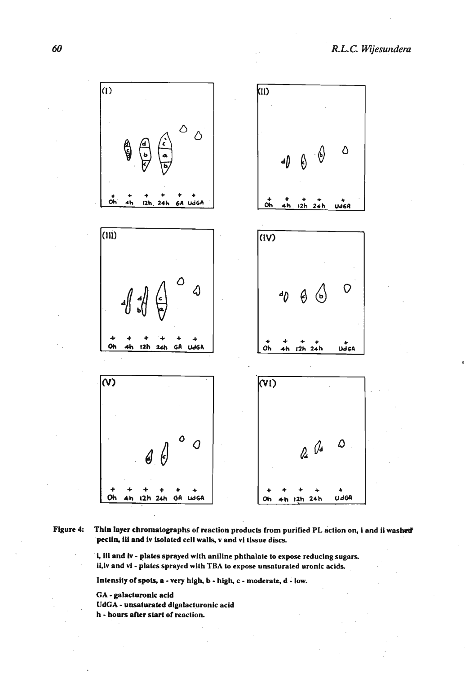

Figure 4: Thin layer chromatographs of reaction products from purified PL action on, i and ii washed pectin, iii and iv isolated cell walls, v and vi tissue discs.

> i, iii and iv - plates sprayed with aniline phthalate to expose reducing sugars. ii, iv and vi - plates sprayed with TBA to expose unsaturated uronic acids.

Intensity of spots, a - very high, **b** - high, c - moderate, d - low.

GA - galacluronlc acid

UdGA - unsaturated digalacturonic acid h - hours after start of reaction.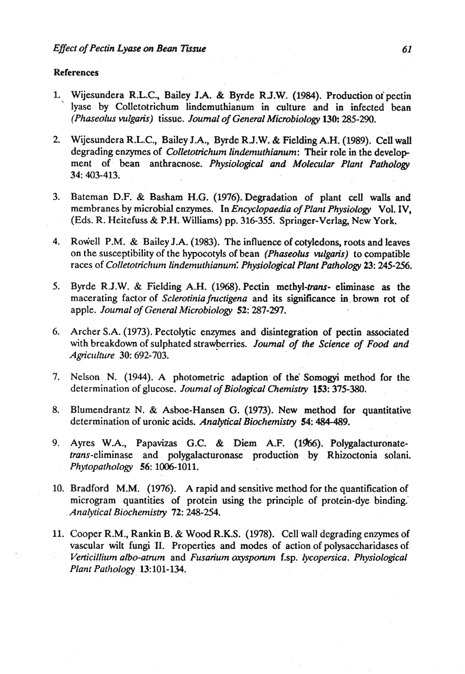#### References

- 1. Wijesundera R.L.C., Bailey J.A. & Byrde R.J.W. (1984). Production oipectin lyase by Colletotrichum lindemuthianum in culture and in infected bean *(Phaseolus vulgaris)* **tissue.** *Journal of General Microbiology* **130:** 285-290.
- 2. Wijesundera R.L.C., Bailey J.A., Byrde R.J.W. & Fielding A.H. (1989). Cell **wall**  degrading enzymes of *Colletotichum lindemuthianum:* Their role in the develop ment of bean anthracnose. *Physiological and Molecular Plant Pathology*  34: 403-413.
- 3. Bateman D.F. & Basham H.G. (1976). Degradation of plant cell walls and membranes by microbial enzymes. In *Encyclopaedia of Plunt Physiology* Vol. IV, (Eds. R. Heitefuss & P.H. Williams) pp. 316-355. Springer-Verlag, New York.
- **4.** Rowel1 P.M. & Bailey J.A. (1983). The influence of cotyledons, roots and leaves on the susceptibility of the hypocotyls of bean *(Phaseolus* - *vulgaris)* to compatible races of *Colletotrichum lindemuthianum: Physiological Plant Pathology 23:* **245-256.**
- 5. Byrde R.J.W. & Fielding A.H. (1968). Pectin methyl-*trans* eliminase as the macerating factor of *Sclerotinia fmctigena* and its significance in. brown rot of apple. *Journal of General Microbiology* 52: **287-297.**
- 6. Archer S.A. (1973). Pectolytic enzymes and disintegration of pectin associated with breakdown of sulphated strawberries. *Journal of the Science of Food and Agriculture* 30: 692-703.
- 7. Nelson N. (1944). A photometric adaption. of the Somogyi method for the determination of glucose. *Journal of Biological Chemistry* 153: 375-380.
- 8. Blumendrantz N. & Asboe-Hansen G. (1973). New method for quantitative determination of uronic acids. *Analytical Biochemistry* 54: 484-489.
- 9. Ayres W.A., Papavizas G.C. & Diem **A.E** (1966). Polygalacturonatetrans-eliminase and polygalacturonase production by Rhizoctonia solani. *Phytopathology* 56: 1006-1011.
- 10. Bradford M.M. (1976). **A** rapid and sensitive method for the quantification of microgram quantities of protein using the principle of protein-dye binding,' . *Analytical Biochemis 72:* **248-254.**
- 11. Cooper R.M., Rankin B. & Wood R.K.S. (1978). Cell wall degrading enzymes of vascular wilt fungi II. Properties and modes of action of polysaccharidases of. *Verticillium albo-atrum and Fusarium oxysporum* f.sp. *lycopersica. Physiological Plant Patliology* 13: 101-134.